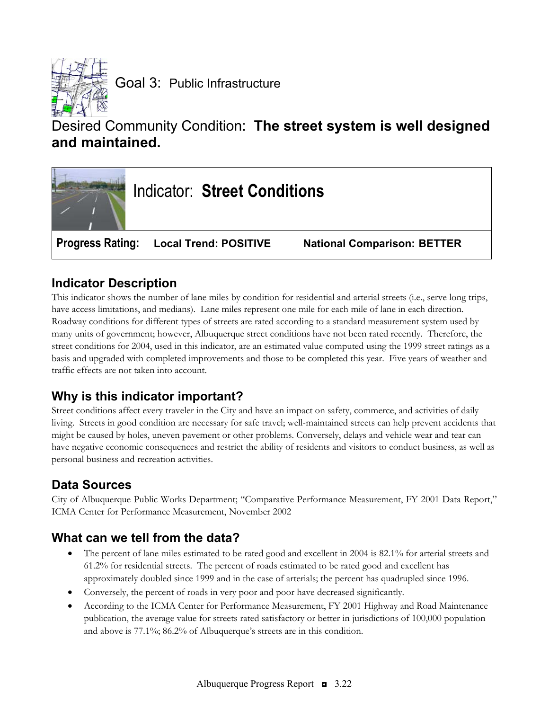

# Desired Community Condition: **The street system is well designed and maintained.**



## **Indicator Description**

This indicator shows the number of lane miles by condition for residential and arterial streets (i.e., serve long trips, have access limitations, and medians). Lane miles represent one mile for each mile of lane in each direction. Roadway conditions for different types of streets are rated according to a standard measurement system used by many units of government; however, Albuquerque street conditions have not been rated recently. Therefore, the street conditions for 2004, used in this indicator, are an estimated value computed using the 1999 street ratings as a basis and upgraded with completed improvements and those to be completed this year. Five years of weather and traffic effects are not taken into account.

## **Why is this indicator important?**

Street conditions affect every traveler in the City and have an impact on safety, commerce, and activities of daily living. Streets in good condition are necessary for safe travel; well-maintained streets can help prevent accidents that might be caused by holes, uneven pavement or other problems. Conversely, delays and vehicle wear and tear can have negative economic consequences and restrict the ability of residents and visitors to conduct business, as well as personal business and recreation activities.

## **Data Sources**

City of Albuquerque Public Works Department; "Comparative Performance Measurement, FY 2001 Data Report," ICMA Center for Performance Measurement, November 2002

### **What can we tell from the data?**

- The percent of lane miles estimated to be rated good and excellent in 2004 is 82.1% for arterial streets and 61.2% for residential streets. The percent of roads estimated to be rated good and excellent has approximately doubled since 1999 and in the case of arterials; the percent has quadrupled since 1996.
- Conversely, the percent of roads in very poor and poor have decreased significantly.
- According to the ICMA Center for Performance Measurement, FY 2001 Highway and Road Maintenance publication, the average value for streets rated satisfactory or better in jurisdictions of 100,000 population and above is 77.1%; 86.2% of Albuquerque's streets are in this condition.